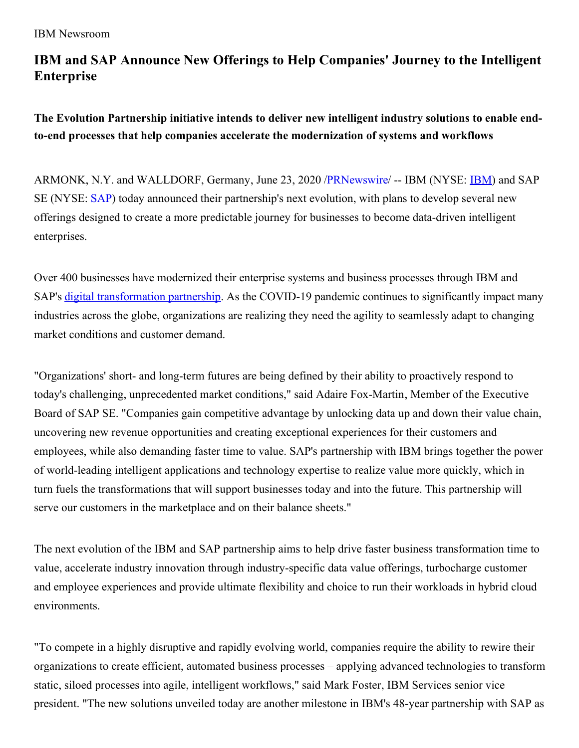# **IBM and SAP Announce New Offerings to Help Companies' Journey to the Intelligent Enterprise**

**The Evolution Partnership initiative intends to deliver new intelligent industry solutions to enable endto-end processes that help companies accelerate the modernization of systems and workflows**

ARMONK, N.Y. and WALLDORF, Germany, June 23, 2020 [/PRNewswire](http://www.prnewswire.com/)/ -- [IBM](https://c212.net/c/link/?t=0&l=en&o=2838869-1&h=3742536044&u=http%3A%2F%2Fwww.ibm.com%2Finvestor&a=IBM) (NYSE: **IBM**) and SAP SE (NYSE: [SAP](https://c212.net/c/link/?t=0&l=en&o=2838869-1&h=572006647&u=https%3A%2F%2Fwww.sap.com%2F&a=SAP)) today announced their partnership's next evolution, with plans to develop several new offerings designed to create a more predictable journey for businesses to become data-driven intelligent enterprises.

Over 400 businesses have modernized their enterprise systems and business processes through IBM and SAP's digital [transformation](https://c212.net/c/link/?t=0&l=en&o=2838869-1&h=1584136812&u=https%3A%2F%2Fwww-03.ibm.com%2Fpress%2Fus%2Fen%2Fpressrelease%2F49458.wss&a=digital+transformation+partnership) partnership. As the COVID-19 pandemic continues to significantly impact many industries across the globe, organizations are realizing they need the agility to seamlessly adapt to changing market conditions and customer demand.

"Organizations' short- and long-term futures are being defined by their ability to proactively respond to today's challenging, unprecedented market conditions," said Adaire Fox-Martin, Member of the Executive Board of SAP SE. "Companies gain competitive advantage by unlocking data up and down their value chain, uncovering new revenue opportunities and creating exceptional experiences for their customers and employees, while also demanding faster time to value. SAP's partnership with IBM brings together the power of world-leading intelligent applications and technology expertise to realize value more quickly, which in turn fuels the transformations that will support businesses today and into the future. This partnership will serve our customers in the marketplace and on their balance sheets."

The next evolution of the IBM and SAP partnership aims to help drive faster business transformation time to value, accelerate industry innovation through industry-specific data value offerings, turbocharge customer and employee experiences and provide ultimate flexibility and choice to run their workloads in hybrid cloud environments.

"To compete in a highly disruptive and rapidly evolving world, companies require the ability to rewire their organizations to create efficient, automated business processes – applying advanced technologies to transform static, siloed processes into agile, intelligent workflows," said Mark Foster, IBM Services senior vice president. "The new solutions unveiled today are another milestone in IBM's 48-year partnership with SAP as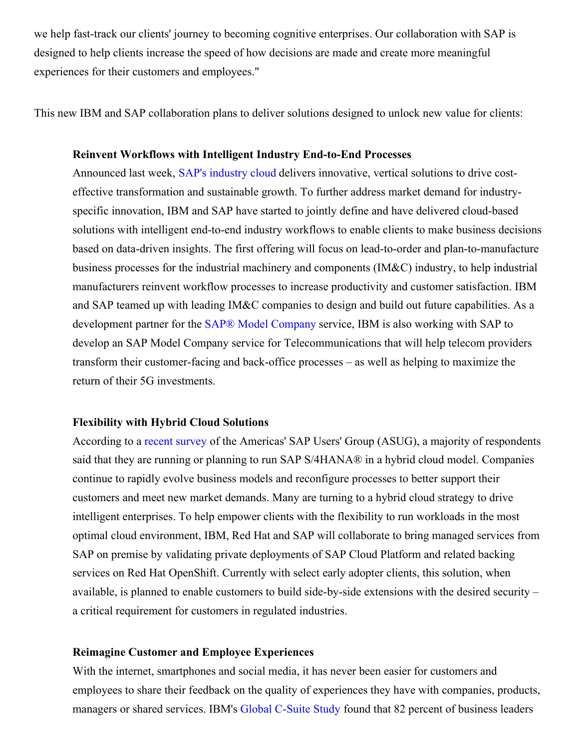we help fast-track our clients' journey to becoming cognitive enterprises. Our collaboration with SAP is designed to help clients increase the speed of how decisions are made and create more meaningful experiences for their customers and employees."

This new IBM and SAP collaboration plans to deliver solutions designed to unlock new value for clients:

## **Reinvent Workflows with Intelligent Industry End-to-End Processes**

Announced last week, SAP's [industry](https://c212.net/c/link/?t=0&l=en&o=2838869-1&h=236928409&u=https%3A%2F%2Fwww.sap.com%2Findustries%2Findustry-cloud.html&a=SAP%27s+industry+cloud) cloud delivers innovative, vertical solutions to drive costeffective transformation and sustainable growth. To further address market demand for industryspecific innovation, IBM and SAP have started to jointly define and have delivered cloud-based solutions with intelligent end-to-end industry workflows to enable clients to make business decisions based on data-driven insights. The first offering will focus on lead-to-order and plan-to-manufacture business processes for the industrial machinery and components (IM&C) industry, to help industrial manufacturers reinvent workflow processes to increase productivity and customer satisfaction. IBM and SAP teamed up with leading IM&C companies to design and build out future capabilities. As a development partner for the SAP® Model [Company](https://c212.net/c/link/?t=0&l=en&o=2838869-1&h=172073007&u=https%3A%2F%2Fwww.sap.com%2Fservices%2Fimplementation%2Fpreconfigured-industry-solutions.html&a=SAP%C2%AE+Model+Company) service, IBM is also working with SAP to develop an SAP Model Company service for Telecommunications that will help telecom providers transform their customer-facing and back-office processes – as well as helping to maximize the return of their 5G investments.

## **Flexibility with Hybrid Cloud Solutions**

According to a recent [survey](https://c212.net/c/link/?t=0&l=en&o=2838869-1&h=1457612537&u=https%3A%2F%2Fwww.asug.com%2Finsights%2Fasug-pulse-of-the-sap-customer-2020-study-results&a=recent+survey) of the Americas' SAP Users' Group (ASUG), a majority of respondents said that they are running or planning to run SAP S/4HANA® in a hybrid cloud model. Companies continue to rapidly evolve business models and reconfigure processes to better support their customers and meet new market demands. Many are turning to a hybrid cloud strategy to drive intelligent enterprises. To help empower clients with the flexibility to run workloads in the most optimal cloud environment, IBM, Red Hat and SAP will collaborate to bring managed services from SAP on premise by validating private deployments of SAP Cloud Platform and related backing services on Red Hat OpenShift. Currently with select early adopter clients, this solution, when available, is planned to enable customers to build side-by-side extensions with the desired security – a critical requirement for customers in regulated industries.

## **Reimagine Customer and Employee Experiences**

With the internet, smartphones and social media, it has never been easier for customers and employees to share their feedback on the quality of experiences they have with companies, products, managers or shared services. IBM's Global [C-Suite](https://c212.net/c/link/?t=0&l=en&o=2838869-1&h=3497153715&u=https%3A%2F%2Fwww.ibm.com%2Fthought-leadership%2Finstitute-business-value%2Fc-suite-study&a=Global+C-Suite+Study) Study found that 82 percent of business leaders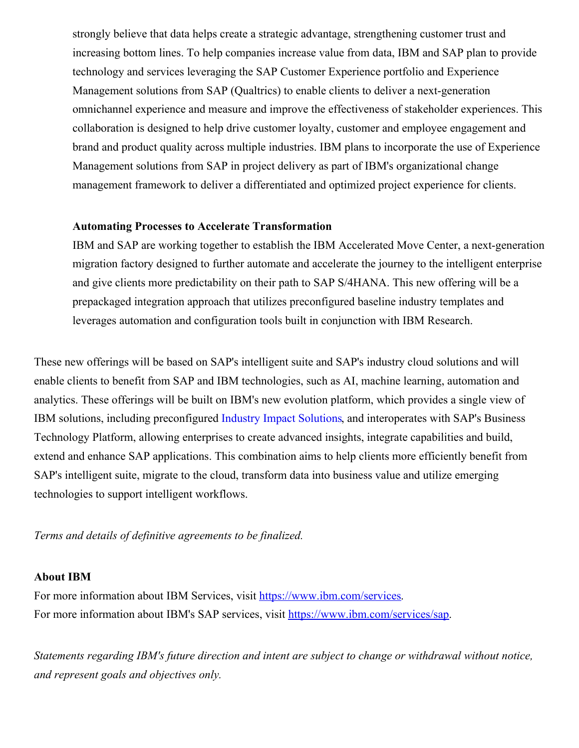strongly believe that data helps create a strategic advantage, strengthening customer trust and increasing bottom lines. To help companies increase value from data, IBM and SAP plan to provide technology and services leveraging the SAP Customer Experience portfolio and Experience Management solutions from SAP (Qualtrics) to enable clients to deliver a next-generation omnichannel experience and measure and improve the effectiveness of stakeholder experiences. This collaboration is designed to help drive customer loyalty, customer and employee engagement and brand and product quality across multiple industries. IBM plans to incorporate the use of Experience Management solutions from SAP in project delivery as part of IBM's organizational change management framework to deliver a differentiated and optimized project experience for clients.

# **Automating Processes to Accelerate Transformation**

IBM and SAP are working together to establish the IBM Accelerated Move Center, a next-generation migration factory designed to further automate and accelerate the journey to the intelligent enterprise and give clients more predictability on their path to SAP S/4HANA. This new offering will be a prepackaged integration approach that utilizes preconfigured baseline industry templates and leverages automation and configuration tools built in conjunction with IBM Research.

These new offerings will be based on SAP's intelligent suite and SAP's industry cloud solutions and will enable clients to benefit from SAP and IBM technologies, such as AI, machine learning, automation and analytics. These offerings will be built on IBM's new evolution platform, which provides a single view of IBM solutions, including preconfigured Industry Impact [Solutions](https://c212.net/c/link/?t=0&l=en&o=2838869-1&h=3383777173&u=https%3A%2F%2Fnews.sap.com%2F2018%2F01%2Fibm-and-sap-combine-efforts-to-accelerate-sap-s-4hana-implementations%2F&a=Industry+Impact+Solutions), and interoperates with SAP's Business Technology Platform, allowing enterprises to create advanced insights, integrate capabilities and build, extend and enhance SAP applications. This combination aims to help clients more efficiently benefit from SAP's intelligent suite, migrate to the cloud, transform data into business value and utilize emerging technologies to support intelligent workflows.

*Terms and details of definitive agreements to be finalized.*

#### **About IBM**

For more information about IBM Services, visit [https://www.ibm.com/services](https://c212.net/c/link/?t=0&l=en&o=2838869-1&h=240038556&u=https%3A%2F%2Fc212.net%2Fc%2Flink%2F%3Ft%3D0%26l%3Den%26o%3D2456931-1%26h%3D1203405618%26u%3Dhttps%253A%252F%252Fwww.ibm.com%252Fservices%26a%3Dhttps%253A%252F%252Fwww.ibm.com%252Fservices&a=https%3A%2F%2Fwww.ibm.com%2Fservices). For more information about IBM's SAP services, visit [https://www.ibm.com/services/sap](https://c212.net/c/link/?t=0&l=en&o=2838869-1&h=3333416803&u=https%3A%2F%2Fc212.net%2Fc%2Flink%2F%3Ft%3D0%26l%3Den%26o%3D2456931-1%26h%3D506148713%26u%3Dhttps%253A%252F%252Fwww.ibm.com%252Fservices%252Fsap%26a%3Dhttps%253A%252F%252Fwww.ibm.com%252Fservices%252Fsap&a=https%3A%2F%2Fwww.ibm.com%2Fservices%2Fsap).

*Statements regarding IBM's future direction and intent are subject to change or withdrawal without notice, and represent goals and objectives only.*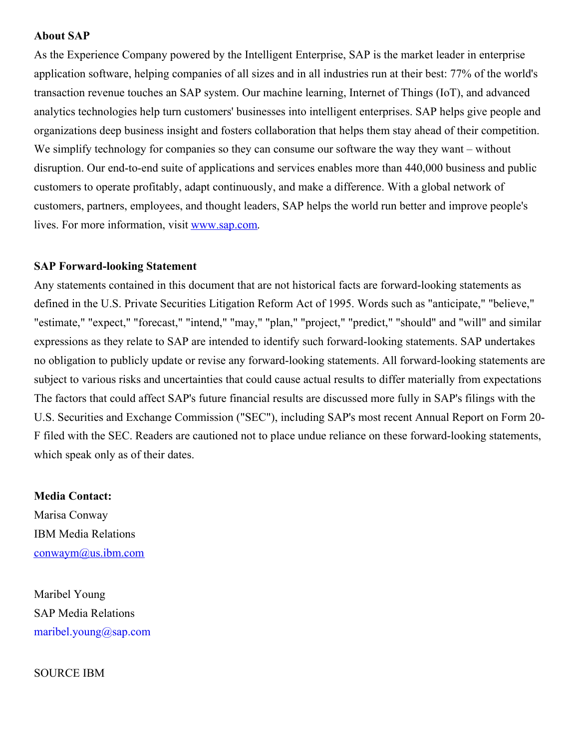#### **About SAP**

As the Experience Company powered by the Intelligent Enterprise, SAP is the market leader in enterprise application software, helping companies of all sizes and in all industries run at their best: 77% of the world's transaction revenue touches an SAP system. Our machine learning, Internet of Things (IoT), and advanced analytics technologies help turn customers' businesses into intelligent enterprises. SAP helps give people and organizations deep business insight and fosters collaboration that helps them stay ahead of their competition. We simplify technology for companies so they can consume our software the way they want – without disruption. Our end-to-end suite of applications and services enables more than 440,000 business and public customers to operate profitably, adapt continuously, and make a difference. With a global network of customers, partners, employees, and thought leaders, SAP helps the world run better and improve people's lives. For more information, visit [www.sap.com](https://c212.net/c/link/?t=0&l=en&o=2838869-1&h=3118411668&u=http%3A%2F%2Fwww.sap.com%2F&a=www.sap.com).

# **SAP Forward-looking Statement**

Any statements contained in this document that are not historical facts are forward-looking statements as defined in the U.S. Private Securities Litigation Reform Act of 1995. Words such as "anticipate," "believe," "estimate," "expect," "forecast," "intend," "may," "plan," "project," "predict," "should" and "will" and similar expressions as they relate to SAP are intended to identify such forward-looking statements. SAP undertakes no obligation to publicly update or revise any forward-looking statements. All forward-looking statements are subject to various risks and uncertainties that could cause actual results to differ materially from expectations The factors that could affect SAP's future financial results are discussed more fully in SAP's filings with the U.S. Securities and Exchange Commission ("SEC"), including SAP's most recent Annual Report on Form 20- F filed with the SEC. Readers are cautioned not to place undue reliance on these forward-looking statements, which speak only as of their dates.

#### **Media Contact:**

Marisa Conway IBM Media Relations [conwaym@us.ibm.com](mailto:conwaym@us.ibm.com)

Maribel Young SAP Media Relations [maribel.young@sap.com](mailto:maribel.young@sap.com)

SOURCE IBM